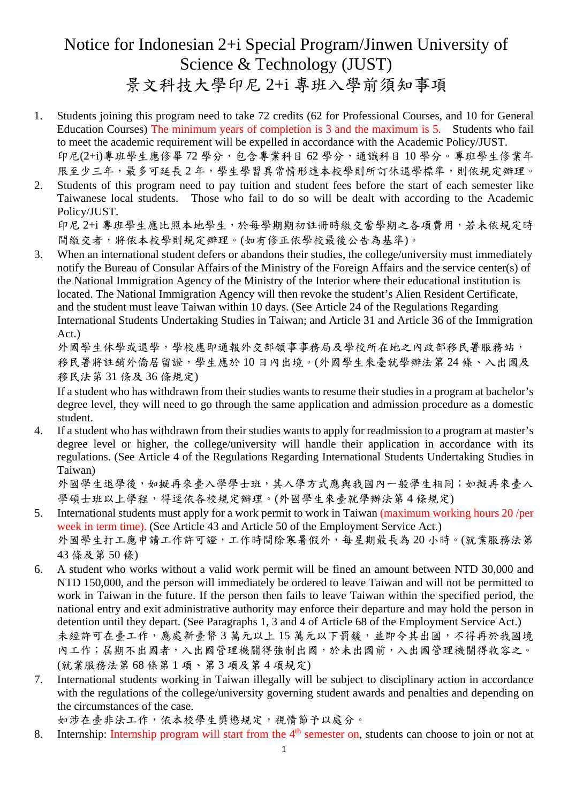# Notice for Indonesian 2+i Special Program/Jinwen University of Science & Technology (JUST) 景文科技大學印尼 2+i 專班入學前須知事項

- 1. Students joining this program need to take 72 credits (62 for Professional Courses, and 10 for General Education Courses) The minimum years of completion is 3 and the maximum is 5. Students who fail to meet the academic requirement will be expelled in accordance with the Academic Policy/JUST. 印尼(2+i)專班學生應修畢 72 學分,包含專業科目 62 學分,通識科目 10 學分。專班學生修業年
- 限至少三年,最多可延長2年,學生學習異常情形達本校學則所訂休退學標準,則依規定辦理。 2. Students of this program need to pay tuition and student fees before the start of each semester like Taiwanese local students. Those who fail to do so will be dealt with according to the Academic Policy/JUST.

印尼 2+i 專班學生應比照本地學生,於每學期期初註冊時繳交當學期之各項費用,若未依規定時 間繳交者,將依本校學則規定辦理。(如有修正依學校最後公告為基準)。

3. When an international student defers or abandons their studies, the college/university must immediately notify the Bureau of Consular Affairs of the Ministry of the Foreign Affairs and the service center(s) of the National Immigration Agency of the Ministry of the Interior where their educational institution is located. The National Immigration Agency will then revoke the student's Alien Resident Certificate, and the student must leave Taiwan within 10 days. (See Article 24 of the Regulations Regarding International Students Undertaking Studies in Taiwan; and Article 31 and Article 36 of the Immigration Act.)

外國學生休學或退學,學校應即通報外交部領事事務局及學校所在地之內政部移民署服務站, 移民署將註銷外僑居留證,學生應於 10 日內出境。(外國學生來臺就學辦法第 24 條、入出國及 移民法第 31 條及 36 條規定)

If a student who has withdrawn from their studies wants to resume their studies in a program at bachelor's degree level, they will need to go through the same application and admission procedure as a domestic student.

4. If a student who has withdrawn from their studies wants to apply for readmission to a program at master's degree level or higher, the college/university will handle their application in accordance with its regulations. (See Article 4 of the Regulations Regarding International Students Undertaking Studies in Taiwan)

外國學生退學後,如擬再來臺入學學士班,其入學方式應與我國內一般學生相同;如擬再來臺入 學碩士班以上學程,得逕依各校規定辦理。(外國學生來臺就學辦法第4條規定)

- 5. International students must apply for a work permit to work in Taiwan (maximum working hours 20 /per week in term time). (See Article 43 and Article 50 of the Employment Service Act.) 外國學生打工應申請工作許可證,工作時間除寒暑假外,每星期最長為 20 小時。(就業服務法第 43 條及第 50 條)
- 6. A student who works without a valid work permit will be fined an amount between NTD 30,000 and NTD 150,000, and the person will immediately be ordered to leave Taiwan and will not be permitted to work in Taiwan in the future. If the person then fails to leave Taiwan within the specified period, the national entry and exit administrative authority may enforce their departure and may hold the person in detention until they depart. (See Paragraphs 1, 3 and 4 of Article 68 of the Employment Service Act.) 未經許可在臺工作,應處新臺幣3萬元以上15萬元以下罰鍰,並即令其出國,不得再於我國境 內工作;屆期不出國者,入出國管理機關得強制出國,於未出國前,入出國管理機關得收容之。 (就業服務法第 68 條第 1 項、第 3 項及第 4 項規定)
- 7. International students working in Taiwan illegally will be subject to disciplinary action in accordance with the regulations of the college/university governing student awards and penalties and depending on the circumstances of the case.

如涉在臺非法工作,依本校學生獎懲規定,視情節予以處分。

8. Internship: Internship program will start from the 4<sup>th</sup> semester on, students can choose to join or not at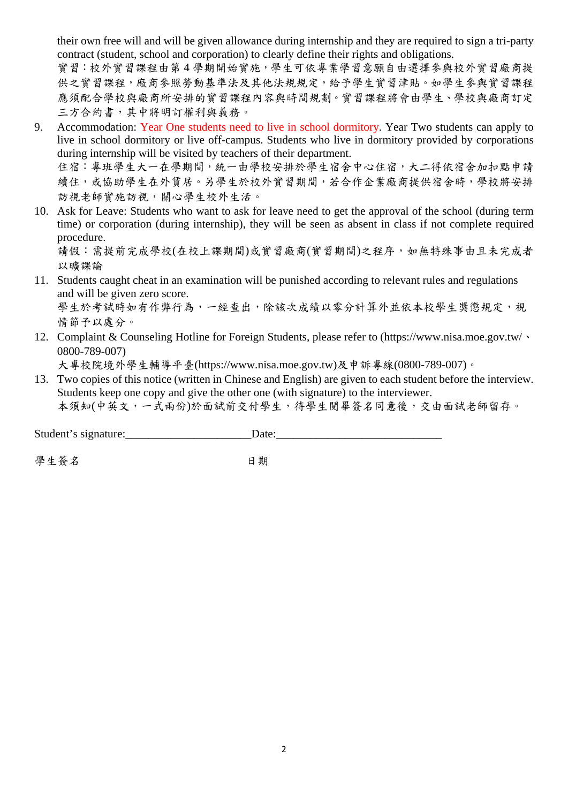their own free will and will be given allowance during internship and they are required to sign a tri-party contract (student, school and corporation) to clearly define their rights and obligations.

實習:校外實習課程由第4學期開始實施,學生可依專業學習意願自由選擇參與校外實習廠商提 供之實習課程,廠商參照勞動基準法及其他法規規定,給予學生實習津貼。如學生參與實習課程 應須配合學校與廠商所安排的實習課程內容與時間規劃。實習課程將會由學生、學校與廠商訂定 三方合約書,其中將明訂權利與義務。

9. Accommodation: Year One students need to live in school dormitory. Year Two students can apply to live in school dormitory or live off-campus. Students who live in dormitory provided by corporations during internship will be visited by teachers of their department. 住宿:專班學生大一在學期間,統一由學校安排於學生宿舍中心住宿,大二得依宿舍加扣點申請

續住,或協助學生在外賃居。另學生於校外實習期間,若合作企業廠商提供宿舍時,學校將安排 訪視老師實施訪視,關心學生校外生活。

10. Ask for Leave: Students who want to ask for leave need to get the approval of the school (during term time) or corporation (during internship), they will be seen as absent in class if not complete required procedure.

請假:需提前完成學校(在校上課期間)或實習廠商(實習期間)之程序,如無特殊事由且未完成者 以曠課論

11. Students caught cheat in an examination will be punished according to relevant rules and regulations and will be given zero score.

學生於考試時如有作弊行為,一經查出,除該次成績以零分計算外並依本校學生獎懲規定,視 情節予以處分。

12. Complaint & Counseling Hotline for Foreign Students, please refer to (https://www.nisa.moe.gov.tw/、 0800-789-007)

大專校院境外學生輔導平臺(https://www.nisa.moe.gov.tw)及申訴專線(0800-789-007)。

13. Two copies of this notice (written in Chinese and English) are given to each student before the interview. Students keep one copy and give the other one (with signature) to the interviewer. 本須知(中英文,一式兩份)於面試前交付學生,待學生閱畢簽名同意後,交由面試老師留存。

Student's signature:\_\_\_\_\_\_\_\_\_\_\_\_\_\_\_\_\_\_\_\_\_\_Date:\_\_\_\_\_\_\_\_\_\_\_\_\_\_\_\_\_\_\_\_\_\_\_\_\_\_\_\_\_

學生 答名 いっきょう アンドリック ロ期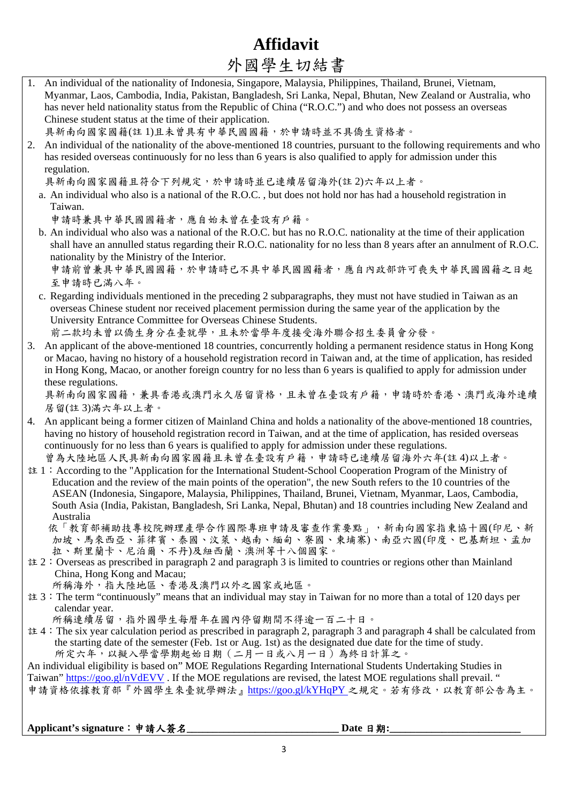# **Affidavit**  外國學生切結書

|    | /   凶 丁 工 〃/ ∾ロ 日                                                                                                                                                                                                                                                                                                                                                                                           |
|----|-------------------------------------------------------------------------------------------------------------------------------------------------------------------------------------------------------------------------------------------------------------------------------------------------------------------------------------------------------------------------------------------------------------|
|    | 1. An individual of the nationality of Indonesia, Singapore, Malaysia, Philippines, Thailand, Brunei, Vietnam,<br>Myanmar, Laos, Cambodia, India, Pakistan, Bangladesh, Sri Lanka, Nepal, Bhutan, New Zealand or Australia, who<br>has never held nationality status from the Republic of China ("R.O.C.") and who does not possess an overseas<br>Chinese student status at the time of their application. |
|    | 具新南向國家國籍(註1)且未曾具有中華民國國籍,於申請時並不具僑生資格者。                                                                                                                                                                                                                                                                                                                                                                       |
| 2. | An individual of the nationality of the above-mentioned 18 countries, pursuant to the following requirements and who<br>has resided overseas continuously for no less than 6 years is also qualified to apply for admission under this<br>regulation.                                                                                                                                                       |
|    | 具新南向國家國籍且符合下列規定,於申請時並已連續居留海外(註2)六年以上者。                                                                                                                                                                                                                                                                                                                                                                      |
|    | a. An individual who also is a national of the R.O.C., but does not hold nor has had a household registration in                                                                                                                                                                                                                                                                                            |
|    | Taiwan.                                                                                                                                                                                                                                                                                                                                                                                                     |
|    | 申請時兼具中華民國國籍者,應自始未曾在臺設有戶籍。                                                                                                                                                                                                                                                                                                                                                                                   |
|    | b. An individual who also was a national of the R.O.C. but has no R.O.C. nationality at the time of their application                                                                                                                                                                                                                                                                                       |
|    | shall have an annulled status regarding their R.O.C. nationality for no less than 8 years after an annulment of R.O.C.                                                                                                                                                                                                                                                                                      |
|    | nationality by the Ministry of the Interior.                                                                                                                                                                                                                                                                                                                                                                |
|    | 申請前曾兼具中華民國國籍,於申請時已不具中華民國國籍者,應自內政部許可喪失中華民國國籍之日起                                                                                                                                                                                                                                                                                                                                                              |
|    | 至申請時已滿八年。                                                                                                                                                                                                                                                                                                                                                                                                   |
|    | c. Regarding individuals mentioned in the preceding 2 subparagraphs, they must not have studied in Taiwan as an<br>overseas Chinese student nor received placement permission during the same year of the application by the                                                                                                                                                                                |
|    | University Entrance Committee for Overseas Chinese Students.                                                                                                                                                                                                                                                                                                                                                |
|    | 前二款均未曾以僑生身分在臺就學,且未於當學年度接受海外聯合招生委員會分發。                                                                                                                                                                                                                                                                                                                                                                       |
| 3. | An applicant of the above-mentioned 18 countries, concurrently holding a permanent residence status in Hong Kong                                                                                                                                                                                                                                                                                            |
|    | or Macao, having no history of a household registration record in Taiwan and, at the time of application, has resided                                                                                                                                                                                                                                                                                       |
|    | in Hong Kong, Macao, or another foreign country for no less than 6 years is qualified to apply for admission under                                                                                                                                                                                                                                                                                          |
|    | these regulations.                                                                                                                                                                                                                                                                                                                                                                                          |
|    | 具新南向國家國籍,兼具香港或澳門永久居留資格,且未曾在臺設有戶籍,申請時於香港、澳門或海外連續                                                                                                                                                                                                                                                                                                                                                             |
|    | 居留(註3)滿六年以上者。                                                                                                                                                                                                                                                                                                                                                                                               |
|    | 4. An applicant being a former citizen of Mainland China and holds a nationality of the above-mentioned 18 countries,                                                                                                                                                                                                                                                                                       |
|    | having no history of household registration record in Taiwan, and at the time of application, has resided overseas<br>continuously for no less than 6 years is qualified to apply for admission under these regulations.                                                                                                                                                                                    |
|    | 曾為大陸地區人民具新南向國家國籍且未曾在臺設有戶籍,申請時已連續居留海外六年(註4)以上者。                                                                                                                                                                                                                                                                                                                                                              |
|    | 註 1: According to the "Application for the International Student-School Cooperation Program of the Ministry of                                                                                                                                                                                                                                                                                              |
|    | Education and the review of the main points of the operation", the new South refers to the 10 countries of the                                                                                                                                                                                                                                                                                              |
|    | ASEAN (Indonesia, Singapore, Malaysia, Philippines, Thailand, Brunei, Vietnam, Myanmar, Laos, Cambodia,                                                                                                                                                                                                                                                                                                     |
|    | South Asia (India, Pakistan, Bangladesh, Sri Lanka, Nepal, Bhutan) and 18 countries including New Zealand and<br>Australia                                                                                                                                                                                                                                                                                  |
|    | 依「教育部補助技專校院辦理產學合作國際專班申請及審查作業要點」,新南向國家指東協十國(印尼、新                                                                                                                                                                                                                                                                                                                                                             |
|    | 加坡、馬來西亞、菲律賓、泰國、汶萊、越南、緬甸、寮國、東埔寨)、南亞六國(印度、巴基斯坦、孟加                                                                                                                                                                                                                                                                                                                                                             |
|    | 拉、斯里蘭卡、尼泊爾、不丹)及紐西蘭、澳洲等十八個國家。                                                                                                                                                                                                                                                                                                                                                                                |
|    | $\pm 2$ : Overseas as prescribed in paragraph 2 and paragraph 3 is limited to countries or regions other than Mainland                                                                                                                                                                                                                                                                                      |
|    | China, Hong Kong and Macau;                                                                                                                                                                                                                                                                                                                                                                                 |
|    | 所稱海外,指大陸地區、香港及澳門以外之國家或地區。<br>註 3: The term "continuously" means that an individual may stay in Taiwan for no more than a total of 120 days per                                                                                                                                                                                                                                                              |
|    | calendar year.                                                                                                                                                                                                                                                                                                                                                                                              |
|    | 所稱連續居留,指外國學生每曆年在國內停留期間不得逾一百二十日。                                                                                                                                                                                                                                                                                                                                                                             |
|    | 註 4: The six year calculation period as prescribed in paragraph 2, paragraph 3 and paragraph 4 shall be calculated from                                                                                                                                                                                                                                                                                     |
|    | the starting date of the semester (Feb. 1st or Aug. 1st) as the designated due date for the time of study.                                                                                                                                                                                                                                                                                                  |
|    | 所定六年,以擬入學當學期起始日期 (二月一日或八月一日)為終日計算之。                                                                                                                                                                                                                                                                                                                                                                         |
|    | An individual eligibility is based on" MOE Regulations Regarding International Students Undertaking Studies in<br>Taiwan" https://goo.gl/nVdEVV. If the MOE regulations are revised, the latest MOE regulations shall prevail. "                                                                                                                                                                            |
|    |                                                                                                                                                                                                                                                                                                                                                                                                             |

申請資格依據教育部『外國學生來臺就學辦法』https://goo.gl/kYHqPY 之規定。若有修改,以教育部公告為主。

#### **Applicant's signature**:申請人簽名**\_\_\_\_\_\_\_\_\_\_\_\_\_\_\_\_\_\_\_\_\_\_\_\_\_\_\_\_\_ Date** 日期**:\_\_\_\_\_\_\_\_\_\_\_\_\_\_\_\_\_\_\_\_\_\_\_\_\_**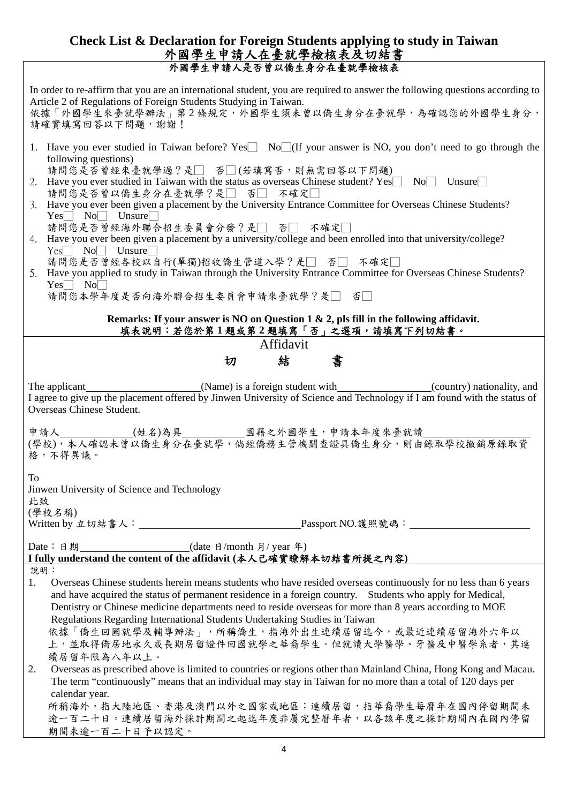#### **Check List & Declaration for Foreign Students applying to study in Taiwan**  外國學生申請人在臺就學檢核表及切結書 外國學生申請人是否曾以僑生身分在臺就學檢核表

| In order to re-affirm that you are an international student, you are required to answer the following questions according to<br>Article 2 of Regulations of Foreign Students Studying in Taiwan.<br>依據「外國學生來臺就學辦法」第2條規定,外國學生須未曾以僑生身分在臺就學,為確認您的外國學生身分,<br>請確實填寫回答以下問題,謝謝! |                                                                                                                                                                                                                                                                                           |  |  |
|--------------------------------------------------------------------------------------------------------------------------------------------------------------------------------------------------------------------------------------------------------------------------|-------------------------------------------------------------------------------------------------------------------------------------------------------------------------------------------------------------------------------------------------------------------------------------------|--|--|
|                                                                                                                                                                                                                                                                          | 1. Have you ever studied in Taiwan before? Yes No (If your answer is NO, you don't need to go through the<br>following questions)                                                                                                                                                         |  |  |
|                                                                                                                                                                                                                                                                          | 請問您是否曾經來臺就學過?是□ 否□(若填寫否,則無需回答以下問題)<br>2. Have you ever studied in Taiwan with the status as overseas Chinese student? $Yes \Box No \Box Unsure \Box$<br>請問您是否曾以僑生身分在臺就學?是□ 否□ 不確定□                                                                                                        |  |  |
|                                                                                                                                                                                                                                                                          | 3. Have you ever been given a placement by the University Entrance Committee for Overseas Chinese Students?<br>$Yes \frown No \frown$ Unsure                                                                                                                                              |  |  |
|                                                                                                                                                                                                                                                                          | 請問您是否曾經海外聯合招生委員會分發?是□ 否□ 不確定□<br>4. Have you ever been given a placement by a university/college and been enrolled into that university/college?<br>$Yes \Box No \Box$ Unsure                                                                                                             |  |  |
|                                                                                                                                                                                                                                                                          | 請問您是否曾經各校以自行(單獨)招收僑生管道入學?是□ 否□ 不確定□<br>5. Have you applied to study in Taiwan through the University Entrance Committee for Overseas Chinese Students?<br>$Yes \Box No \Box$                                                                                                              |  |  |
|                                                                                                                                                                                                                                                                          | 請問您本學年度是否向海外聯合招生委員會申請來臺就學?是□ 否□                                                                                                                                                                                                                                                           |  |  |
|                                                                                                                                                                                                                                                                          | Remarks: If your answer is NO on Question 1 & 2, pls fill in the following affidavit.<br>填表說明:若您於第1題或第2題填寫「否」之選項,請填寫下列切結書。                                                                                                                                                                |  |  |
|                                                                                                                                                                                                                                                                          | Affidavit                                                                                                                                                                                                                                                                                 |  |  |
|                                                                                                                                                                                                                                                                          | 結<br>書<br>切                                                                                                                                                                                                                                                                               |  |  |
|                                                                                                                                                                                                                                                                          | I agree to give up the placement offered by Jinwen University of Science and Technology if I am found with the status of<br>Overseas Chinese Student.                                                                                                                                     |  |  |
|                                                                                                                                                                                                                                                                          | 格,不得異議。                                                                                                                                                                                                                                                                                   |  |  |
| <b>To</b><br>Jinwen University of Science and Technology<br>此致                                                                                                                                                                                                           |                                                                                                                                                                                                                                                                                           |  |  |
|                                                                                                                                                                                                                                                                          | (學校名稱)                                                                                                                                                                                                                                                                                    |  |  |
| Date: 日期<br>$\frac{1}{\text{(date } \Box \text{ month } \Box \text{ year } \triangleq)}$<br>I fully understand the content of the affidavit (本人已確實瞭解本切結書所提之內容)                                                                                                           |                                                                                                                                                                                                                                                                                           |  |  |
| 說明:<br>1.                                                                                                                                                                                                                                                                | Overseas Chinese students herein means students who have resided overseas continuously for no less than 6 years<br>and have acquired the status of permanent residence in a foreign country. Students who apply for Medical,                                                              |  |  |
|                                                                                                                                                                                                                                                                          | Dentistry or Chinese medicine departments need to reside overseas for more than 8 years according to MOE<br>Regulations Regarding International Students Undertaking Studies in Taiwan<br>依據「僑生回國就學及輔導辦法」,所稱僑生,指海外出生連續居留迄今,或最近連續居留海外六年以<br>上,並取得僑居地永久或長期居留證件回國就學之華裔學生。但就讀大學醫學、牙醫及中醫學系者,其連 |  |  |
| 2.                                                                                                                                                                                                                                                                       | 續居留年限為八年以上。<br>Overseas as prescribed above is limited to countries or regions other than Mainland China, Hong Kong and Macau.<br>The term "continuously" means that an individual may stay in Taiwan for no more than a total of 120 days per                                            |  |  |
|                                                                                                                                                                                                                                                                          | calendar year.<br>所稱海外,指大陸地區、香港及澳門以外之國家或地區;連續居留,指華裔學生每曆年在國內停留期間未                                                                                                                                                                                                                          |  |  |
|                                                                                                                                                                                                                                                                          | 逾一百二十日。連續居留海外採計期間之起迄年度非屬完整曆年者,以各該年度之採計期間內在國內停留<br>期間未逾一百二十日予以認定。                                                                                                                                                                                                                          |  |  |